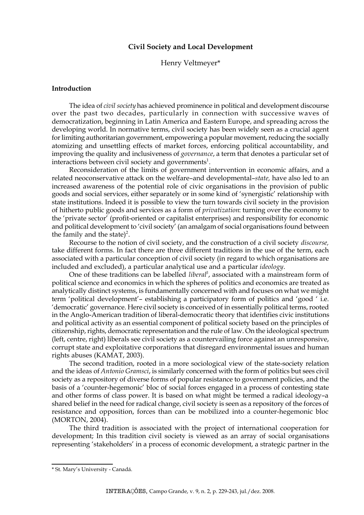# **Civil Society and Local Development**

## Henry Veltmeyer\*

### **Introduction**

The idea of *civil society* has achieved prominence in political and development discourse over the past two decades, particularly in connection with successive waves of democratization, beginning in Latin America and Eastern Europe, and spreading across the developing world. In normative terms, civil society has been widely seen as a crucial agent for limiting authoritarian government, empowering a popular movement, reducing the socially atomizing and unsettling effects of market forces, enforcing political accountability, and improving the quality and inclusiveness of *governance*, a term that denotes a particular set of interactions between civil society and governments<sup>1</sup>.

Reconsideration of the limits of government intervention in economic affairs, and a related neoconservative attack on the welfare–and developmental–*state,* have also led to an increased awareness of the potential role of civic organisations in the provision of public goods and social services, either separately or in some kind of 'synergistic' relationship with state institutions. Indeed it is possible to view the turn towards civil society in the provision of hitherto public goods and services as a form of *privatization*: turning over the economy to the 'private sector' (profit-oriented or capitalist enterprises) and responsibility for economic and political development to 'civil society' (an amalgam of social organisations found between the family and the state)<sup>2</sup>.

Recourse to the notion of civil society, and the construction of a civil society *discourse,* take different forms. In fact there are three different traditions in the use of the term, each associated with a particular conception of civil society (in regard to which organisations are included and excluded), a particular analytical use and a particular *ideology*.

One of these traditions can be labelled *liberal*<sup>3</sup>, associated with a mainstream form of political science and economics in which the spheres of politics and economics are treated as analytically distinct systems, is fundamentally concerned with and focuses on what we might term 'political development'– establishing a participatory form of politics and 'good ' i.e. 'democratic' governance. Here civil society is conceived of in essentially political terms, rooted in the Anglo-American tradition of liberal-democratic theory that identifies civic institutions and political activity as an essential component of political society based on the principles of citizenship, rights, democratic representation and the rule of law. On the ideological spectrum (left, centre, right) liberals see civil society as a countervailing force against an unresponsive, corrupt state and exploitative corporations that disregard environmental issues and human rights abuses (KAMAT, 2003).

The second tradition, rooted in a more sociological view of the state-society relation and the ideas of *Antonio Gramsci*, is similarly concerned with the form of politics but sees civil society as a repository of diverse forms of popular resistance to government policies, and the basis of a 'counter-hegemonic' bloc of social forces engaged in a process of contesting state and other forms of class power. It is based on what might be termed a radical ideology–a shared belief in the need for radical change, civil society is seen as a repository of the forces of resistance and opposition, forces than can be mobilized into a counter-hegemonic bloc (MORTON, 2004).

The third tradition is associated with the project of international cooperation for development; In this tradition civil society is viewed as an array of social organisations representing 'stakeholders' in a process of economic development, a strategic partner in the

<sup>\*</sup> St. Mary's University - Canadá.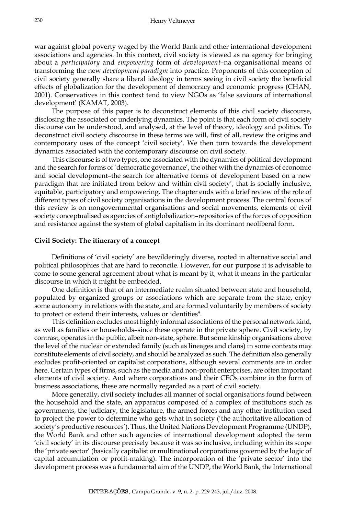war against global poverty waged by the World Bank and other international development associations and agencies. In this context, civil society is viewed as na agency for bringing about a *participatory* and *empowering* form of *development*–na organisational means of transforming the new *development paradigm* into practice. Proponents of this conception of civil society generally share a liberal ideology in terms seeing in civil society the beneficial effects of globalization for the development of democracy and economic progress (CHAN, 2001). Conservatives in this context tend to view NGOs as 'false saviours of international development' (KAMAT, 2003).

The purpose of this paper is to deconstruct elements of this civil society discourse, disclosing the associated or underlying dynamics. The point is that each form of civil society discourse can be understood, and analysed, at the level of theory, ideology and politics. To deconstruct civil society discourse in these terms we will, first of all, review the origins and contemporary uses of the concept 'civil society'. We then turn towards the development dynamics associated with the contemporary discourse on civil society.

This discourse is of two types, one associated with the dynamics of political development and the search for forms of 'democratic governance', the other with the dynamics of economic and social development–the search for alternative forms of development based on a new paradigm that are initiated from below and within civil society', that is socially inclusive, equitable, participatory and empowering. The chapter ends with a brief review of the role of different types of civil society organisations in the development process. The central focus of this review is on nongovernmental organisations and social movements, elements of civil society conceptualised as agencies of antiglobalization–repositories of the forces of opposition and resistance against the system of global capitalism in its dominant neoliberal form.

## **Civil Society: The itinerary of a concept**

Definitions of 'civil society' are bewilderingly diverse, rooted in alternative social and political philosophies that are hard to reconcile. However, for our purpose it is advisable to come to some general agreement about what is meant by it, what it means in the particular discourse in which it might be embedded.

One definition is that of an intermediate realm situated between state and household, populated by organized groups or associations which are separate from the state, enjoy some autonomy in relations with the state, and are formed voluntarily by members of society to protect or extend their interests, values or identities<sup>4</sup>.

This definition excludes most highly informal associations of the personal network kind, as well as families or households–since these operate in the private sphere. Civil society, by contrast, operates in the public, albeit non-state, sphere. But some kinship organisations above the level of the nuclear or extended family (such as lineages and clans) in some contexts may constitute elements of civil society, and should be analyzed as such. The definition also generally excludes profit-oriented or capitalist corporations, although several comments are in order here. Certain types of firms, such as the media and non-profit enterprises, are often important elements of civil society. And where corporations and their CEOs combine in the form of business associations, these are normally regarded as a part of civil society.

More generally, civil society includes all manner of social organisations found between the household and the state, an apparatus composed of a complex of institutions such as governments, the judiciary, the legislature, the armed forces and any other institution used to project the power to determine who gets what in society ('the authoritative allocation of society's productive resources'). Thus, the United Nations Development Programme (UNDP), the World Bank and other such agencies of international development adopted the term 'civil society' in its discourse precisely because it was so inclusive, including within its scope the 'private sector' (basically capitalist or multinational corporations governed by the logic of capital accumulation or profit-making). The incorporation of the 'private sector' into the development process was a fundamental aim of the UNDP, the World Bank, the International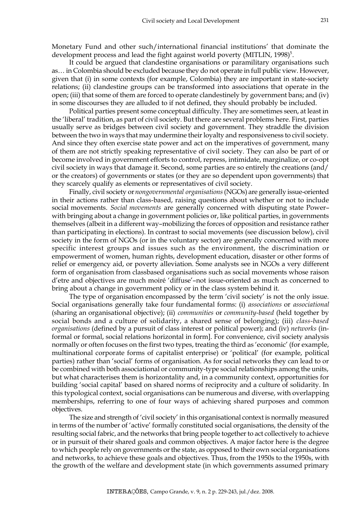Monetary Fund and other such/international financial institutions' that dominate the development process and lead the fight against world poverty (MITLIN,  $1998$ <sup>5</sup>.

It could be argued that clandestine organisations or paramilitary organisations such as… in Colombia should be excluded because they do not operate in full public view. However, given that (i) in some contexts (for example, Colombia) they are important in state-society relations; (ii) clandestine groups can be transformed into associations that operate in the open; (iii) that some of them are forced to operate clandestinely by government bans; and (iv) in some discourses they are alluded to if not defined, they should probably be included.

Political parties present some conceptual difficulty. They are sometimes seen, at least in the 'liberal' tradition, as part of civil society. But there are several problems here. First, parties usually serve as bridges between civil society and government. They straddle the division between the two in ways that may undermine their loyalty and responsiveness to civil society. And since they often exercise state power and act on the imperatives of government, many of them are not strictly speaking representative of civil society. They can also be part of or become involved in government efforts to control, repress, intimidate, marginalize, or co-opt civil society in ways that damage it. Second, some parties are so entirely the creations (and/ or the creators) of governments or states (or they are so dependent upon governments) that they scarcely qualify as elements or representatives of civil society.

Finally, civil society or *nongovernmental organisations* (NGOs) are generally issue-oriented in their actions rather than class-based, raising questions about whether or not to include social movements. *Social movements* are generally concerned with disputing state Power– with bringing about a change in government policies or, like political parties, in governments themselves (albeit in a different way–mobilizing the forces of opposition and resistance rather than participating in elections). In contrast to social movements (see discussion below), civil society in the form of NGOs (or in the voluntary sector) are generally concerned with more specific interest groups and issues such as the environment, the discrimination or empowerment of women, human rights, development education, disaster or other forms of relief or emergency aid, or poverty alleviation. Some analysts see in NGOs a very different form of organisation from classbased organisations such as social movements whose raison d'etre and objectives are much moiré 'diffuse'–not issue-oriented as much as concerned to bring about a change in government policy or in the class system behind it.

The type of organisation encompassed by the term 'civil society' is not the only issue. Social organisations generally take four fundamental forms: (i) *associations* or *associational* (sharing an organisational objective); (ii) *communities* or *community-based* (held together by social bonds and a culture of solidarity, a shared sense of belonging); (iii) *class-based organisations* (defined by a pursuit of class interest or political power); and (iv) *networks* (informal or formal, social relations horizontal in form]. For convenience, civil society analysis normally or often focuses on the first two types, treating the third as 'economic' (for example, multinational corporate forms of capitalist enterprise) or 'political' (for example, political parties) rather than 'social' forms of organisation. As for social networks they can lead to or be combined with both associational or community-type social relationships among the units, but what characterises them is horizontality and, in a community context, opportunities for building 'social capital' based on shared norms of reciprocity and a culture of solidarity. In this typological context, social organisations can be numerous and diverse, with overlapping memberships, referring to one of four ways of achieving shared purposes and common objectives.

The size and strength of 'civil society' in this organisational context is normally measured in terms of the number of 'active' formally constituted social organisations, the density of the resulting social fabric, and the networks that bring people together to act collectively to achieve or in pursuit of their shared goals and common objectives. A major factor here is the degree to which people rely on governments or the state, as opposed to their own social organisations and networks, to achieve these goals and objectives. Thus, from the 1950s to the 1950s, with the growth of the welfare and development state (in which governments assumed primary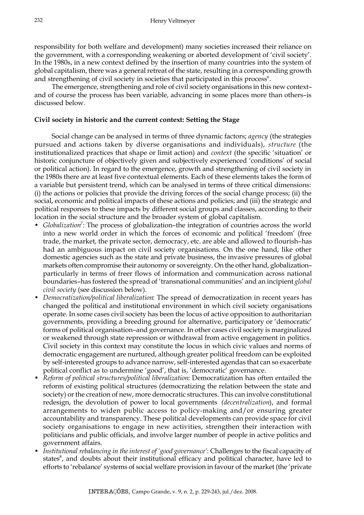responsibility for both welfare and development) many societies increased their reliance on the government, with a corresponding weakening or aborted development of 'civil society'. In the 1980s, in a new context defined by the insertion of many countries into the system of global capitalism, there was a general retreat of the state, resulting in a corresponding growth and strengthening of civil society in societies that participated in this process $6$ .

The emergence, strengthening and role of civil society organisations in this new context– and of course the process has been variable, advancing in some places more than others–is discussed below.

# **Civil society in historic and the current context: Setting the Stage**

Social change can be analysed in terms of three dynamic factors; *agency* (the strategies pursued and actions taken by diverse organisations and individuals), *structure* (the institutionalized practices that shape or limit action) and *context* (the specific 'situation' or historic conjuncture of objectively given and subjectively experienced 'conditions' of social or political action). In regard to the emergence, growth and strengthening of civil society in the 1980s there are at least five contextual elements. Each of these elements takes the form of a variable but persistent trend, which can be analysed in terms of three critical dimensions: (i) the actions or policies that provide the driving forces of the social change process; (ii) the social, economic and political impacts of these actions and policies; and (iii) the strategic and political responses to these impacts by different social groups and classes, according to their location in the social structure and the broader system of global capitalism.

- Globalization<sup>7</sup>: The process of globalization-the integration of countries across the world into a new world order in which the forces of economic and political 'freedom' (free trade, the market, the private sector, democracy, etc. are able and allowed to flourish–has had an ambiguous impact on civil society organisations. On the one hand, like other domestic agencies such as the state and private business, the invasive pressures of global markets often compromise their autonomy or sovereignty. On the other hand, globalization– particularly in terms of freer flows of information and communication across national boundaries–has fostered the spread of 'transnational communities' and an incipient *global civil society* (see discussion below).
- *Democratization/political liberalization*: The spread of democratization in recent years has changed the political and institutional environment in which civil society organisations operate. In some cases civil society has been the locus of active opposition to authoritarian governments, providing a breeding ground for alternative, participatory or 'democratic' forms of political organisation–and governance. In other cases civil society is marginalized or weakened through state repression or withdrawal from active engagement in politics. Civil society in this context may constitute the locus in which civic values and norms of democratic engagement are nurtured, although greater political freedom can be exploited by self-interested groups to advance narrow, self-interested agendas that can so exacerbate political conflict as to undermine 'good', that is, 'democratic' governance.
- *Reform of political structures/political liberalization*: Democratization has often entailed the reform of existing political structures (democratizing the relation between the state and society) or the creation of new, more democratic structures. This can involve constitutional redesign, the devolution of power to local governments *(decentralization*), and formal arrangements to widen public access to policy-making and/or ensuring greater accountability and transparency. These political developments can provide space for civil society organisations to engage in new activities, strengthen their interaction with politicians and public officials, and involve larger number of people in active politics and government affairs.
- *Institutional rebalancing in the interest of 'good governance'*: Challenges to the fiscal capacity of states<sup>8</sup>, and doubts about their institutional efficacy and political character, have led to efforts to 'rebalance' systems of social welfare provision in favour of the market (the 'private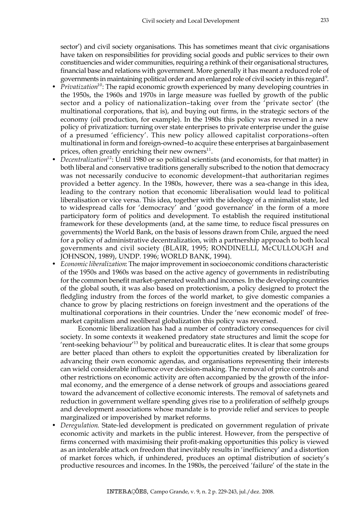sector') and civil society organisations. This has sometimes meant that civic organisations have taken on responsibilities for providing social goods and public services to their own constituencies and wider communities, requiring a rethink of their organisational structures, financial base and relations with government. More generally it has meant a reduced role of governments in maintaining political order and an enlarged role of civil society in this regard<sup>9</sup>.

- *Privatization*<sup>10</sup>: The rapid economic growth experienced by many developing countries in the 1950s, the 1960s and 1970s in large measure was fuelled by growth of the public sector and a policy of nationalization–taking over from the 'private sector' (the multinational corporations, that is), and buying out firms, in the strategic sectors of the economy (oil production, for example). In the 1980s this policy was reversed in a new policy of privatization: turning over state enterprises to private enterprise under the guise of a presumed 'efficiency'. This new policy allowed capitalist corporations–often multinational in form and foreign-owned–to acquire these enterprises at bargainbasement prices, often greatly enriching their new owners $^{11}$ .
- *Decentralization*<sup>12</sup>: Until 1980 or so political scientists (and economists, for that matter) in both liberal and conservative traditions generally subscribed to the notion that democracy was not necessarily conducive to economic development–that authoritarian regimes provided a better agency. In the 1980s, however, there was a sea-change in this idea, leading to the contrary notion that economic liberalisation would lead to political liberalisation or vice versa. This idea, together with the ideology of a minimalist state, led to widespread calls for 'democracy' and 'good governance' in the form of a more participatory form of politics and development. To establish the required institutional framework for these developments (and, at the same time, to reduce fiscal pressures on governments) the World Bank, on the basis of lessons drawn from Chile, argued the need for a policy of administrative decentralization, with a partnership approach to both local governments and civil society (BLAIR, 1995; RONDINELLI, McCULLOUGH and JOHNSON, 1989), UNDP. 1996; WORLD BANK, 1994).
- *Economic liberalization*: The major improvement in socioeconomic conditions characteristic of the 1950s and 1960s was based on the active agency of governments in redistributing for the common benefit market-generated wealth and incomes. In the developing countries of the global south, it was also based on protectionism, a policy designed to protect the fledgling industry from the forces of the world market, to give domestic companies a chance to grow by placing restrictions on foreign investment and the operations of the multinational corporations in their countries. Under the 'new economic model' of freemarket capitalism and neoliberal globalization this policy was reversed.

Economic liberalization has had a number of contradictory consequences for civil society. In some contexts it weakened predatory state structures and limit the scope for 'rent-seeking behaviour'13 by political and bureaucratic elites. It is clear that some groups are better placed than others to exploit the opportunities created by liberalization for advancing their own economic agendas, and organisations representing their interests can wield considerable influence over decision-making. The removal of price controls and other restrictions on economic activity are often accompanied by the growth of the informal economy, and the emergence of a dense network of groups and associations geared toward the advancement of collective economic interests. The removal of safetynets and reduction in government welfare spending gives rise to a proliferation of selfhelp groups and development associations whose mandate is to provide relief and services to people marginalized or impoverished by market reforms.

• *Deregulation*. State-led development is predicated on government regulation of private economic activity and markets in the public interest. However, from the perspective of firms concerned with maximising their profit-making opportunities this policy is viewed as an intolerable attack on freedom that inevitably results in 'inefficiency' and a distortion of market forces which, if unhindered, produces an optimal distribution of society's productive resources and incomes. In the 1980s, the perceived 'failure' of the state in the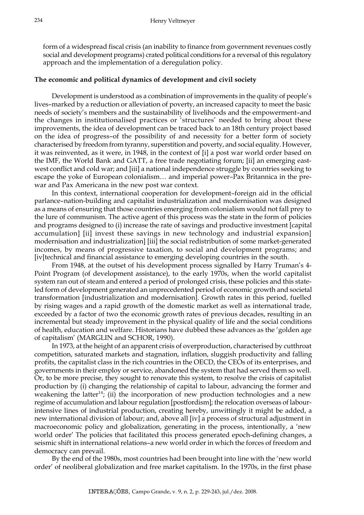form of a widespread fiscal crisis (an inability to finance from government revenues costly social and development programs) crated political conditions for a reversal of this regulatory approach and the implementation of a deregulation policy.

# **The economic and political dynamics of development and civil society**

Development is understood as a combination of improvements in the quality of people's lives–marked by a reduction or alleviation of poverty, an increased capacity to meet the basic needs of society's members and the sustainability of livelihoods and the empowerment–and the changes in institutionalised practices or 'structures' needed to bring about these improvements, the idea of development can be traced back to an 18th century project based on the idea of progress–of the possibility of and necessity for a better form of society characterised by freedom from tyranny, superstition and poverty, and social equality. However, it was reinvented, as it were, in 1948, in the context of [i] a post war world order based on the IMF, the World Bank and GATT, a free trade negotiating forum; [ii] an emerging eastwest conflict and cold war; and [iii] a national independence struggle by countries seeking to escape the yoke of European colonialism… and imperial power–Pax Britannica in the prewar and Pax Americana in the new post war context.

In this context, international cooperation for development–foreign aid in the official parlance–nation-building and capitalist industrialization and modernisation was designed as a means of ensuring that those countries emerging from colonialism would not fall prey to the lure of communism. The active agent of this process was the state in the form of policies and programs designed to (i) increase the rate of savings and productive investment [capital accumulation] [ii] invest these savings in new technology and industrial expansion] modernisation and industrialization] [iii] the social redistribution of some market-generated incomes, by means of progressive taxation, to social and development programs; and [iv[technical and financial assistance to emerging developing countries in the south.

From 1948, at the outset of his development process signalled by Harry Truman's 4- Point Program (of development assistance), to the early 1970s, when the world capitalist system ran out of steam and entered a period of prolonged crisis, these policies and this stateled form of development generated an unprecedented period of economic growth and societal transformation [industrialization and modernisation]. Growth rates in this period, fuelled by rising wages and a rapid growth of the domestic market as well as international trade, exceeded by a factor of two the economic growth rates of previous decades, resulting in an incremental but steady improvement in the physical quality of life and the social conditions of health, education and welfare. Historians have dubbed these advances as the 'golden age of capitalism' (MARGLIN and SCHOR, 1990).

In 1973, at the height of an apparent crisis of overproduction, characterised by cutthroat competition, saturated markets and stagnation, inflation, sluggish productivity and falling profits, the capitalist class in the rich countries in the OECD, the CEOs of its enterprises, and governments in their employ or service, abandoned the system that had served them so well. Or, to be more precise, they sought to renovate this system, to resolve the crisis of capitalist production by (i) changing the relationship of capital to labour, advancing the former and weakening the latter<sup>14</sup>; (ii) the incorporation of new production technologies and a new regime of accumulation and labour regulation [postfordism]; the relocation overseas of labourintensive lines of industrial production, creating hereby, unwittingly it might be added, a new international division of labour; and, above all [iv] a process of structural adjustment in macroeconomic policy and globalization, generating in the process, intentionally, a 'new world order' The policies that facilitated this process generated epoch-defining changes, a seismic shift in international relations–a new world order in which the forces of freedom and democracy can prevail.

By the end of the 1980s, most countries had been brought into line with the 'new world order' of neoliberal globalization and free market capitalism. In the 1970s, in the first phase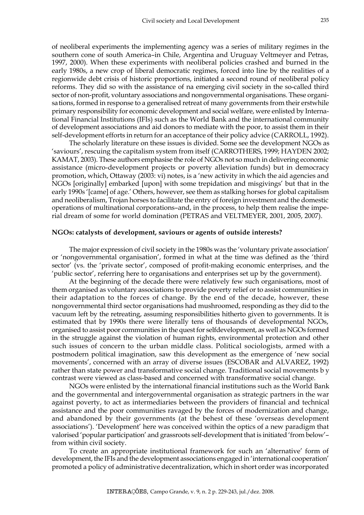of neoliberal experiments the implementing agency was a series of military regimes in the southern cone of south America–in Chile, Argentina and Uruguay Veltmeyer and Petras, 1997, 2000). When these experiments with neoliberal policies crashed and burned in the early 1980s, a new crop of liberal democratic regimes, forced into line by the realities of a regionwide debt crisis of historic proportions, initiated a second round of neoliberal policy reforms. They did so with the assistance of na emerging civil society in the so-called third sector of non-profit, voluntary associations and nongovernmental organisations. These organisations, formed in response to a generalised retreat of many governments from their erstwhile primary responsibility for economic development and social welfare, were enlisted by International Financial Institutions (IFIs) such as the World Bank and the international community of development associations and aid donors to mediate with the poor, to assist them in their self-development efforts in return for an acceptance of their policy advice (CARROLL, 1992).

The scholarly literature on these issues is divided. Some see the development NGOs as 'saviours', rescuing the capitalism system from itself (CARROTHERS, 1999; HAYDEN 2002; KAMAT, 2003). These authors emphasise the role of NGOs not so much in delivering economic assistance (micro-development projects or poverty alleviation funds) but in democracy promotion, which, Ottaway (2003: vi) notes, is a 'new activity in which the aid agencies and NGOs [originally] embarked [upon] with some trepidation and misgivings' but that in the early 1990s '[came] of age.' Others, however, see them as stalking horses for global capitalism and neoliberalism, Trojan horses to facilitate the entry of foreign investment and the domestic operations of multinational corporations–and, in the process, to help them realise the imperial dream of some for world domination (PETRAS and VELTMEYER, 2001, 2005, 2007).

## **NGOs: catalysts of development, saviours or agents of outside interests?**

The major expression of civil society in the 1980s was the 'voluntary private association' or 'nongovernmental organisation', formed in what at the time was defined as the 'third sector' (vs. the 'private sector', composed of profit-making economic enterprises, and the 'public sector', referring here to organisations and enterprises set up by the government).

At the beginning of the decade there were relatively few such organisations, most of them organised as voluntary associations to provide poverty relief or to assist communities in their adaptation to the forces of change. By the end of the decade, however, these nongovernmental third sector organisations had mushroomed, responding as they did to the vacuum left by the retreating, assuming responsibilities hitherto given to governments. It is estimated that by 1990s there were literally tens of thousands of developmental NGOs, organised to assist poor communities in the quest for selfdevelopment, as well as NGOs formed in the struggle against the violation of human rights, environmental protection and other such issues of concern to the urban middle class. Political sociologists, armed with a postmodern political imagination, saw this development as the emergence of 'new social movements', concerned with an array of diverse issues (ESCOBAR and ALVAREZ, 1992) rather than state power and transformative social change. Traditional social movements b y contrast were viewed as class-based and concerned with transformative social change.

NGOs were enlisted by the international financial institutions such as the World Bank and the governmental and intergovernmental organisation as strategic partners in the war against poverty, to act as intermediaries between the providers of financial and technical assistance and the poor communities ravaged by the forces of modernization and change, and abandoned by their governments (at the behest of these 'overseas development associations'). 'Development' here was conceived within the optics of a new paradigm that valorised 'popular participation' and grassroots self-development that is initiated 'from below'– from within civil society.

To create an appropriate institutional framework for such an 'alternative' form of development, the IFIs and the development associations engaged in 'international cooperation' promoted a policy of administrative decentralization, which in short order was incorporated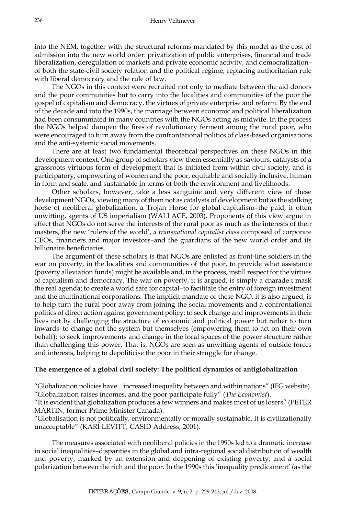into the NEM, together with the structural reforms mandated by this model as the cost of admission into the new world order: privatization of public enterprises, financial and trade liberalization, deregulation of markets and private economic activity, and democratization– of both the state-civil society relation and the political regime, replacing authoritarian rule with liberal democracy and the rule of law.

The NGOs in this context were recruited not only to mediate between the aid donors and the poor communities but to carry into the localities and communities of the poor the gospel of capitalism and democracy, the virtues of private enterprise and reform. By the end of the decade and into the 1990s, the marriage between economic and political liberalization had been consummated in many countries with the NGOs acting as midwife. In the process the NGOs helped dampen the fires of revolutionary ferment among the rural poor, who were encouraged to turn away from the confrontational politics of class-based organisations and the anti-systemic social movements.

There are at least two fundamental theoretical perspectives on these NGOs in this development context. One group of scholars view them essentially as saviours, catalysts of a grassroots virtuous form of development that is initiated from within civil society, and is participatory, empowering of women and the poor, equitable and socially inclusive, human in form and scale, and sustainable in terms of both the environment and livelihoods.

Other scholars, however, take a less sanguine and very different view of these development NGOs, viewing many of them not as catalysts of development but as the stalking horse of neoliberal globalization, a Trojan Horse for global capitalism–the paid, if often unwitting, agents of US imperialism (WALLACE, 2003). Proponents of this view argue in effect that NGOs do not serve the interests of the rural poor as much as the interests of their masters, the new 'rulers of the world', *a transnational capitalist class* composed of corporate CEOs, financiers and major investors–and the guardians of the new world order and its billionaire beneficiaries.

The argument of these scholars is that NGOs are enlisted as front-line soldiers in the war on poverty, in the localities and communities of the poor, to provide what assistance (poverty alleviation funds) might be available and, in the process, instill respect for the virtues of capitalism and democracy. The war on poverty, it is argued, is simply a charade t mask the real agenda: to create a world safe for capital–to facilitate the entry of foreign investment and the multinational corporations. The implicit mandate of these NGO, it is also argued, is to help turn the rural poor away from joining the social movements and a confrontational politics of direct action against government policy; to seek change and improvements in their lives not by challenging the structure of economic and political power but rather to turn inwards–to change not the system but themselves (empowering them to act on their own behalf); to seek improvements and change in the local spaces of the power structure rather than challenging this power. That is, NGOs are seen as unwitting agents of outside forces and interests, helping to depoliticise the poor in their struggle for change.

## **The emergence of a global civil society: The political dynamics of antiglobalization**

"Globalization policies have... increased inequality between and within nations" (IFG website). "Globalization raises incomes, and the poor participate fully" (*The Economist*).

"It is evident that globalization produces a few winners and makes most of us losers" (PETER MARTIN, former Prime Minister Canada).

"Globalisation is not politically, environmentally or morally sustainable. It is civilizationally unacceptable" (KARI LEVITT, CASID Address, 2001).

The measures associated with neoliberal policies in the 1990s led to a dramatic increase in social inequalities–disparities in the global and intra-regional social distribution of wealth and poverty, marked by an extension and deepening of existing poverty, and a social polarization between the rich and the poor. In the 1990s this 'inequality predicament' (as the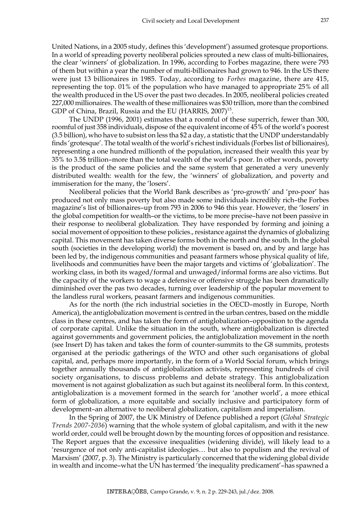United Nations, in a 2005 study, defines this 'development') assumed grotesque proportions. In a world of spreading poverty neoliberal policies sprouted a new class of multi-billionaires, the clear 'winners' of globalization. In 1996, according to Forbes magazine, there were 793 of them but within a year the number of multi-billionaires had grown to 946. In the US there were just 13 billionaires in 1985. Today, according to *Forbes* magazine, there are 415, representing the top. 01% of the population who have managed to appropriate 25% of all the wealth produced in the US over the past two decades. In 2005, neoliberal policies created 227,000 millionaires. The wealth of these millionaires was \$30 trillion, more than the combined GDP of China, Brazil, Russia and the EU (HARRIS, 2007)<sup>15</sup>.

The UNDP (1996, 2001) estimates that a roomful of these superrich, fewer than 300, roomful of just 358 individuals, dispose of the equivalent income of 45% of the world's poorest (3.5 billion), who have to subsist on less tha \$2 a day, a statistic that the UNDP understandably finds 'grotesque'. The total wealth of the world's richest individuals (Forbes list of billionaires), representing a one hundred millionth of the population, increased their wealth this year by 35% to 3.5\$ trillion–more than the total wealth of the world's poor. In other words, poverty is the product of the same policies and the same system that generated a very unevenly distributed wealth: wealth for the few, the 'winners' of globalization, and poverty and immiseration for the many, the 'losers'.

Neoliberal policies that the World Bank describes as 'pro-growth' and 'pro-poor' has produced not only mass poverty but also made some individuals incredibly rich–the Forbes magazine's list of billionaires–up from 793 in 2006 to 946 this year. However, the 'losers' in the global competition for wealth–or the victims, to be more precise–have not been passive in their response to neoliberal globalization. They have responded by forming and joining a social movement of opposition to these policies., resistance against the dynamics of globalizing capital. This movement has taken diverse forms both in the north and the south. In the global south (societies in the developing world) the movement is based on, and by and large has been led by, the indigenous communities and peasant farmers whose physical quality of life, livelihoods and communities have been the major targets and victims of 'globalization'. The working class, in both its waged/formal and unwaged/informal forms are also victims. But the capacity of the workers to wage a defensive or offensive struggle has been dramatically diminished over the pas two decades, turning over leadership of the popular movement to the landless rural workers, peasant farmers and indigenous communities.

As for the north (the rich industrial societies in the OECD–mostly in Europe, North America), the antiglobalization movement is centred in the urban centres, based on the middle class in these centres, and has taken the form of antiglobalization–opposition to the agenda of corporate capital. Unlike the situation in the south, where antiglobalization is directed against governments and government policies, the antiglobalization movement in the north (see Insert D) has taken and takes the form of counter-summits to the G8 summits, protests organised at the periodic gatherings of the WTO and other such organisations of global capital, and, perhaps more importantly, in the form of a World Social forum, which brings together annually thousands of antiglobalization activists, representing hundreds of civil society organisations, to discuss problems and debate strategy. This antiglobalization movement is not against globalization as such but against its neoliberal form. In this context, antiglobalization is a movement formed in the search for 'another world', a more ethical form of globalization, a more equitable and socially inclusive and participatory form of development–an alternative to neoliberal globalization, capitalism and imperialism.

In the Spring of 2007, the UK Ministry of Defence published a report (*Global Strategic Trends 2007-2036*) warning that the whole system of global capitalism, and with it the new world order, could well be brought down by the mounting forces of opposition and resistance. The Report argues that the excessive inequalities (widening divide), will likely lead to a 'resurgence of not only anti-capitalist ideologies… but also to populism and the revival of Marxism' (2007, p. 3). The Ministry is particularly concerned that the widening global divide in wealth and income–what the UN has termed 'the inequality predicament'–has spawned a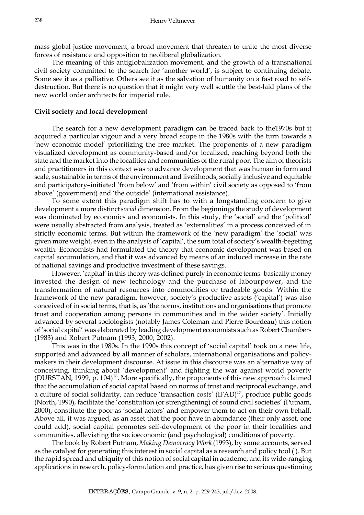mass global justice movement, a broad movement that threaten to unite the most diverse forces of resistance and opposition to neoliberal globalization.

The meaning of this antiglobalization movement, and the growth of a transnational civil society committed to the search for 'another world', is subject to continuing debate. Some see it as a palliative. Others see it as the salvation of humanity on a fast road to selfdestruction. But there is no question that it might very well scuttle the best-laid plans of the new world order architects for imperial rule.

## **Civil society and local development**

The search for a new development paradigm can be traced back to the1970s but it acquired a particular vigour and a very broad scope in the 1980s with the turn towards a 'new economic model' prioritizing the free market. The proponents of a new paradigm visualized development as community-based and/or localized, reaching beyond both the state and the market into the localities and communities of the rural poor. The aim of theorists and practitioners in this context was to advance development that was human in form and scale, sustainable in terms of the environment and livelihoods, socially inclusive and equitable and participatory–initiated 'from below' and 'from within' civil society as opposed to 'from above' (government) and 'the outside' (international assistance).

To some extent this paradigm shift has to with a longstanding concern to give development a more distinct *social* dimension. From the beginnings the study of development was dominated by economics and economists. In this study, the 'social' and the 'political' were usually abstracted from analysis, treated as 'externalities' in a process conceived of in strictly economic terms. But within the framework of the 'new paradigm' the 'social' was given more weight, even in the analysis of 'capital', the sum total of society's wealth-begetting wealth. Economists had formulated the theory that economic development was based on capital accumulation, and that it was advanced by means of an induced increase in the rate of national savings and productive investment of these savings.

However, 'capital' in this theory was defined purely in economic terms–basically money invested the design of new technology and the purchase of labourpower, and the transformation of natural resources into commodities or tradeable goods. Within the framework of the new paradigm, however, society's productive assets ('capital') was also conceived of in social terms, that is, as 'the norms, institutions and organisations that promote trust and cooperation among persons in communities and in the wider society'. Initially advanced by several sociologists (notably James Coleman and Pierre Bourdeau) this notion of 'social capital' was elaborated by leading development economists such as Robert Chambers (1983) and Robert Putnam (1993, 2000, 2002).

This was in the 1980s. In the 1990s this concept of 'social capital' took on a new life, supported and advanced by all manner of scholars, international organisations and policymakers in their development discourse. At issue in this discourse was an alternative way of conceiving, thinking about 'development' and fighting the war against world poverty (DURSTAN, 1999, p. 104)16. More specifically, the proponents of this new approach claimed that the accumulation of social capital based on norms of trust and reciprocal exchange, and a culture of social solidarity, can reduce 'transaction costs' (IFAD) $17$ , produce public goods (North, 1990), facilitate the 'constitution (or strengthening) of sound civil societies' (Putnam, 2000), constitute the poor as 'social actors' and empower them to act on their own behalf. Above all, it was argued, as an asset that the poor have in abundance (their only asset, one could add), social capital promotes self-development of the poor in their localities and communities, alleviating the socioeconomic (and psychological) conditions of poverty.

The book by Robert Putnam, *Making Democracy Work* (1993), by some accounts, served as the catalyst for generating this interest in social capital as a research and policy tool ( ). But the rapid spread and ubiquity of this notion of social capital in academe, and its wide-ranging applications in research, policy-formulation and practice, has given rise to serious questioning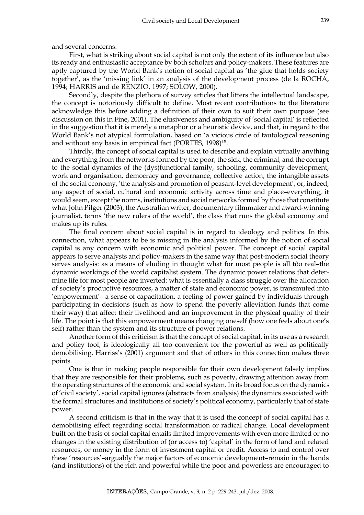and several concerns.

First, what is striking about social capital is not only the extent of its influence but also its ready and enthusiastic acceptance by both scholars and policy-makers. These features are aptly captured by the World Bank's notion of social capital as 'the glue that holds society together', as the 'missing link' in an analysis of the development process (de la ROCHA, 1994; HARRIS and de RENZIO, 1997; SOLOW, 2000).

Secondly, despite the plethora of survey articles that litters the intellectual landscape, the concept is notoriously difficult to define. Most recent contributions to the literature acknowledge this before adding a definition of their own to suit their own purpose (see discussion on this in Fine, 2001). The elusiveness and ambiguity of 'social capital' is reflected in the suggestion that it is merely a metaphor or a heuristic device, and that, in regard to the World Bank's not atypical formulation, based on 'a vicious circle of tautological reasoning and without any basis in empirical fact (PORTES,  $1998$ )<sup>18</sup>.

Thirdly, the concept of social capital is used to describe and explain virtually anything and everything from the networks formed by the poor, the sick, the criminal, and the corrupt to the social dynamics of the (dys)functional family, schooling, community development, work and organisation, democracy and governance, collective action, the intangible assets of the social economy, 'the analysis and promotion of peasant-level development', or, indeed, any aspect of social, cultural and economic activity across time and place–everything, it would seem, except the norms, institutions and social networks formed by those that constitute what John Pilger (2003), the Australian writer, documentary filmmaker and award-winning journalist, terms 'the new rulers of the world', the class that runs the global economy and makes up its rules.

The final concern about social capital is in regard to ideology and politics. In this connection, what appears to be is missing in the analysis informed by the notion of social capital is any concern with economic and political power. The concept of social capital appears to serve analysts and policy-makers in the same way that post-modern social theory serves analysis: as a means of eluding in thought what for most people is all tôo real–the dynamic workings of the world capitalist system. The dynamic power relations that determine life for most people are inverted: what is essentially a class struggle over the allocation of society's productive resources, a matter of state and economic power, is transmuted into 'empowerment'– a sense of capacitation, a feeling of power gained by individuals through participating in decisions (such as how to spend the poverty alleviation funds that come their way) that affect their livelihood and an improvement in the physical quality of their life. The point is that this empowerment means changing oneself (how one feels about one's self) rather than the system and its structure of power relations.

Another form of this criticism is that the concept of social capital, in its use as a research and policy tool, is ideologically all too convenient for the powerful as well as politically demobilising. Harriss's (2001) argument and that of others in this connection makes three points.

One is that in making people responsible for their own development falsely implies that they are responsible for their problems, such as poverty, drawing attention away from the operating structures of the economic and social system. In its broad focus on the dynamics of 'civil society', social capital ignores (abstracts from analysis) the dynamics associated with the formal structures and institutions of society's political economy, particularly that of state power.

A second criticism is that in the way that it is used the concept of social capital has a demobilising effect regarding social transformation or radical change. Local development built on the basis of social capital entails limited improvements with even more limited or no changes in the existing distribution of (or access to) 'capital' in the form of land and related resources, or money in the form of investment capital or credit. Access to and control over these 'resources'–arguably the major factors of economic development–remain in the hands (and institutions) of the rich and powerful while the poor and powerless are encouraged to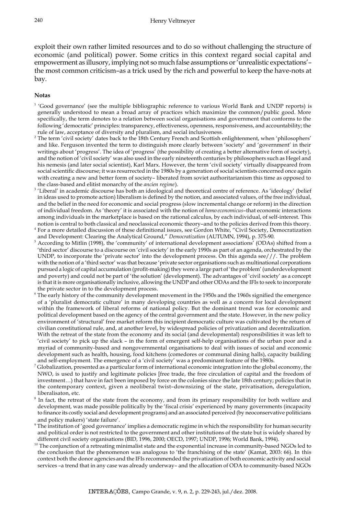exploit their own rather limited resources and to do so without challenging the structure of economic (and political) power. Some critics in this context regard social capital and empowerment as illusory, implying not so much false assumptions or 'unrealistic expectations'– the most common criticism–as a trick used by the rich and powerful to keep the have-nots at bay.

### **Notas**

- <sup>1</sup> 'Good governance' (see the multiple bibliographic reference to various World Bank and UNDP reports) is generally understood to mean a broad array of practices which maximize the common/public good. More specifically, the term denotes to a relation between social organisations and government that conforms to the following 'democratic' principles: transparency, effectiveness, openness, responsiveness, and accountability; the rule of law, acceptance of diversity and pluralism, and social inclusiveness.
- $^2$  The term 'civil society' dates back to the 18th Century French and Scottish enlightenment, when 'philosophers' and like. Ferguson invented the term to distinguish more clearly between 'society' and 'government' in their writings about 'progress'. The idea of 'progress' (the possibility of creating a better alternative form of society), and the notion of 'civil society' was also used in the early nineteenth centuries by philosophers such as Hegel and his nemesis (and later social scientist), Karl Marx. However, the term 'civil society' virtually disappeared from social scientific discourse; it was resurrected in the 1980s by a generation of social scientists concerned once again with creating a new and better form of society– liberated from soviet authoritarianism this time as opposed to the class-based and elitist monarchy of the *ancien regime*).
- <sup>3</sup>'Liberal' in academic discourse has both an ideological and theoretical centre of reference. As 'ideology' (belief in ideas used to promote action) liberalism is defined by the notion, and associated values, of the free individual, and the belief in the need for economic and social progress (slow incremental change or reform) in the direction of individual freedom. As 'theory' it is associated with the notion of *homo economicus*–that economic interactions among individuals in the marketplace is based on the rational calculus, by each individual, of self-interest. This notion is central to both classical and neoclassical economic theory–and to the policies derived from this theory.
- 4 For a more detailed discussion of these definitional issues, see Gordon White, "Civil Society, Democratization and Development: Clearing the Analytical Ground," *Democratization* (AUTUMN, 1994), p. 375-90.
- 5 According to Mitlin (1998), the 'community' of international development associations' (ODAs) shifted from a 'third sector' discourse to a discourse on 'civil society' in the early 1990s as part of an agenda, orchestrated by the UNDP, to incorporate the 'private sector' into the development process. On this agenda see///. The problem with the notion of a 'third sector' was that because 'private sector organisations such as multinational corporations pursued a logic of capital accumulation (profit-making) they were a large part of 'the problem' (underdevelopment and poverty) and could not be part of 'the solution' (development). The advantages of 'civil society' as a concept is that it is more organisationally inclusive, allowing the UNDP and other ODAs and the IFIs to seek to incorporate the private sector in to the development process.
- 6 The early history of the community development movement in the 1950s and the 1960s signified the emergence of a 'pluralist democratic culture' in many developing countries as well as a concern for local development within the framework of liberal reforms of national policy. But the dominant trend was for economic and political development based on the agency of the central government and the state. However, in the new policy environment of 'structural' free market reform this incipient democratic culture was cultivated by the return of civilian constitutional rule, and, at another level, by widespread policies of privatization and decentralization. With the retreat of the state from the economy and its social (and developmental) responsibilities it was left to 'civil society' to pick up the slack – in the form of emergent self-help organisations of the urban poor and a myriad of community-based and nongovernmental organisations to deal with issues of social and economic development such as health, housing, food kitchens (comedores or communal dining halls), capacity building and self-employment. The emergence of a 'civil society' was a predominant feature of the 1980s.
- 7 Globalization, presented as a particular form of international economic integration into the global economy, the NWO, is used to justify and legitimate policies [free trade, the free circulation of capital and the freedom of investment…) that have in fact been imposed by force on the colonies since the late 18th century; policies that in the contemporary context, given a neoliberal twist–downsizing of the state, privatisation, deregulation, liberalisaton, etc.
- 8 In fact, the retreat of the state from the economy, and from its primary responsibility for both welfare and development, was made possible politically by the 'fiscal crisis' experienced by many governments (incapacity to finance its costly social and development programs) and an associated perceived (by neoconservative politicians and policy makers) 'state failure'.
- 9 The institution of 'good governance' implies a democratic regime in which the responsibility for human security and political order is not restricted to the government and other institutions of the state but is widely shared by different civil society organisations (BID, 1996, 2000; OECD, 1997; UNDP, 1996; World Bank, 1994).
- <sup>10</sup> The conjunction of a retreating minimalist state and the exponential increase in community-based NGOs led to the conclusion that the phenomenon was analogous to 'the franchising of the state' (Kamat, 2003: 66). In this context both the donor agencies and the IFIs recommended the privatization of both economic activity and social services –a trend that in any case was already underway– and the allocation of ODA to community-based NGOs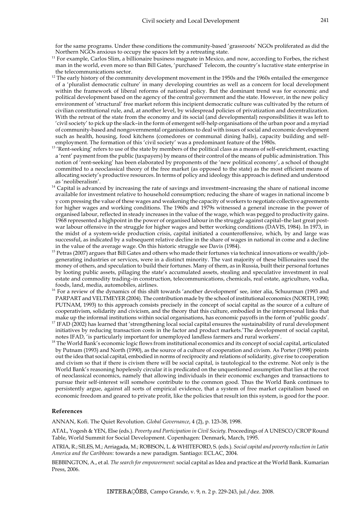for the same programs. Under these conditions the community-based 'grassroots' NGOs proliferated as did the Northern NGOs anxious to occupy the spaces left by a retreating state.

- <sup>11</sup> For example, Carlos Slim, a billionaire business magnate in Mexico, and now, according to Forbes, the richest man in the world, even more so than Bill Gates, 'purchased' Telecom, the country's lucrative state enterprise in the telecommunications sector.
- <sup>12</sup> The early history of the community development movement in the 1950s and the 1960s entailed the emergence of a 'pluralist democratic culture' in many developing countries as well as a concern for local development within the framework of liberal reforms of national policy. But the dominant trend was for economic and political development based on the agency of the central government and the state. However, in the new policy environment of 'structural' free market reform this incipient democratic culture was cultivated by the return of civilian constitutional rule, and, at another level, by widespread policies of privatization and decentralization. With the retreat of the state from the economy and its social (and developmental) responsibilities it was left to 'civil society' to pick up the slack–in the form of emergent self-help organisations of the urban poor and a myriad of community-based and nongovernmental organisations to deal with issues of social and economic development such as health, housing, food kitchens (comedores or communal dining halls), capacity building and selfemployment. The formation of this 'civil society' was a predominant feature of the 1980s.
- <sup>13</sup> 'Rent-seeking' refers to use of the state by members of the political class as a means of self-enrichment, exacting a 'rent' payment from the public (taxpayers) by means of their control of the means of public administration. This notion of 'rent-seeking' has been elaborated by proponents of the 'new political economy', a school of thought committed to a neoclassical theory of the free market (as opposed to the state) as the most efficient means of allocating society's productive resources. In terms of policy and ideology this approach is defined and understood as 'neoliberalism'.
- $14$  Capital is advanced by increasing the rate of savings and investment-increasing the share of national income available for investment relative to household consumption; reducing the share of wages in national income b y com pressing the value of these wages and weakening the capacity of workers to negotiate collective agreements for higher wages and working conditions. The 1960s and 1979s witnessed a general increase in the power of organised labour, reflected in steady increases in the value of the wage, which was pegged to productivity gains. 1968 represented a highpoint in the power of organised labour in the struggle against capital–the last great postwar labour offensive in the struggle for higher wages and better working conditions (DAVIS, 1984). In 1973, in the midst of a system-wide production crisis, capital initiated a counteroffensive, which, by and large was successful, as indicated by a subsequent relative decline in the share of wages in national in come and a decline in the value of the average wage. On this historic struggle see Davis (1984).
- <sup>15</sup> Petras (2007) argues that Bill Gates and others who made their fortunes via technical innovations or wealth/jobgenerating industries or services, were in a distinct minority. The vast majority of these billionaires used the money of others, and speculation to build their fortunes. Many of them, as in Russia, built their personal fortunes by looting public assets, pillaging the state's accumulated assets, stealing and speculative investment in real estate and commodity trading–in construction, telecommunications, chemicals, real estate, agriculture, vodka, foods, land, media, automobiles, airlines.
- <sup>16</sup> For a review of the dynamics of this shift towards 'another development' see, inter alia, Schuurman (1993 and PARPART and VELTMEYER (2004). The contribution made by the school of institutional economics (NORTH, 1990; PUTNAM, 1993) to this approach consists precisely in the concept of social capital as the source of a culture of cooperativism, solidarity and civicism, and the theory that this culture, embodied in the interpersonal links that make up the informal institutions within social organisations, has economic payoffs in the form of 'public goods'.
- $17$  IFAD (2002) has learned that 'strengthening local social capital ensures the sustainability of rural development initiatives by reducing transaction costs in the factor and product markets.'The development of social capital, notes IFAD, 'is particularly important for unemployed landless farmers and rural workers'.
- <sup>18</sup> The World Bank's economic logic flows from institutional economics and its concept of social capital, articulated by Putnam (1993) and North (1990), as the source of a culture of cooperation and civism. As Porter (1998) points out the idea that social capital, embodied in norms of reciprocity and relations of solidarity, give rise to cooperation and civism so that if there is civism there will be social capital, is tautological to the extreme. Not only is the World Bank's reasoning hopelessly circular it is predicated on the unquestioned assumption that lies at the root of neoclassical economics, namely that allowing individuals in their economic exchanges and transactions to pursue their self-interest will somehow contribute to the common good. Thus the World Bank continues to persistently argue, against all sorts of empirical evidence, that a system of free market capitalism based on economic freedom and geared to private profit, like the policies that result ion this system, is good for the poor.

#### **References**

ANNAN, Kofi. The Quiet Revolution. *Global Governance*, 4 (2), p. 123-38, 1998.

ATAL, Yogesh & YEN, Else (eds.). *Poverty and Participation in Civil Society*. Proceedings of A UNESCO/CROP Round Table, World Summit for Social Development. Copenhagen: Denmark, March, 1995.

ATRIA, R.; SILES, M.; Arriagada, M.; ROBISON, L. & WHITEFORD, S. (eds.)*. Social capital and poverty reduction in Latin America and the Caribbean:* towards a new paradigm*.* Santiago: ECLAC, 2004.

BEBBINGTON, A., et al. *The search for empowerment:* social capital as Idea and practice at the World Bank. Kumarian Press, 2006.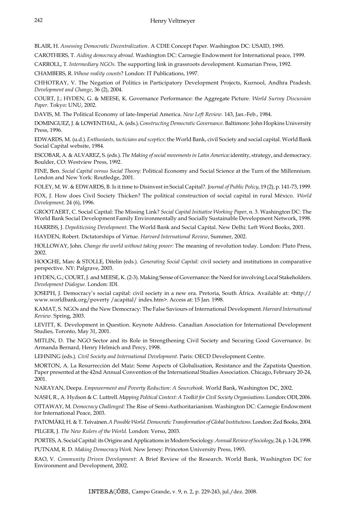BLAIR, H. *Assessing Democratic Decentralization*. A CDIE Concept Paper. Washington DC: USAID, 1995.

CAROTHERS, T. *Aiding democracy abroad*. Washington DC: Carnegie Endowment for International peace, 1999.

CARROLL, T. *Intermediary NGOs.* The supporting link in grassroots development. Kumarian Press, 1992.

CHAMBERS, R. *Whose reality counts*? London: IT Publications, 1997.

CHHOTRAY, V. The Negation of Politics in Participatory Development Projects, Kurnool, Andhra Pradesh. *Development and Change*, 36 (2), 2004.

COURT, J.; HYDEN, G. & MEESE, K. Governance Performance: the Aggregate Picture. *World Survey Discussion Paper*. Tokyo: UNU, 2002.

DAVIS, M. The Political Economy of late-Imperial America. *New Left Review.* 143, Jan.-Feb., 1984.

DOMINGUEZ, J. & LOWENTHAL, A. (eds.). *Constructing Democratic Governance*. Baltimore: John Hopkins University Press, 1996.

EDWARDS, M. (u.d.). *Enthusiasts, tacticians and sceptics*: the World Bank, civil Society and social capital. World Bank Social Capital website, 1984.

ESCOBAR, A. & ALVAREZ, S. (eds.). *The Making of social movements in Latin America:* identity, strategy, and democracy. Boulder, CO: Westview Press, 1992.

FINE, Ben. *Social Capital versus Social Theory*: Political Economy and Social Science at the Turn of the Millennium. London and New York: Routledge, 2001.

FOLEY, M. W. & EDWARDS, B. Is it time to Disinvest in Social Capital?. *Journal of Public Policy*, 19 (2), p. 141-73, 1999.

FOX, J. How does Civil Society Thicken? The political construction of social capital in rural México. *World Development,* 24 (6), 1996.

GROOTAERT, C. Social Capital: The Missing Link? *Social Capital Initiative Working Paper*, n. 3. Washington DC: The World Bank Social Development Family Environmentally and Socially Sustainable Development Network, 1998.

HARRISS, J. *Depoliticising Development.* The World Bank and Social Capital. New Delhi: Left Word Books, 2001.

HAYDEN, Robert. Dictatorships of Virtue. *Harvard International Review*, Summer, 2002.

HOLLOWAY, John. *Change the world without taking power:* The meaning of revolution today. London: Pluto Press, 2002.

HOOGHE, Marc & STOLLE, Ditelin (eds.). *Generating Social Capital:* civil society and institutions in comparative perspective. NY: Palgrave, 2003.

HYDEN, G.; COURT, J. and MEESE, K. (2-3). Making Sense of Governance: the Need for involving Local Stakeholders. *Development Dialogue*. London: IDI.

JOSEPH, J. Democracy's social capital: civil society in a new era. Pretoria, South África. Available at: <http:// www.worldbank.org/poverty /acapital/ index.htm>. Access at: 15 Jan. 1998.

KAMAT, S. NGOs and the New Democracy: The False Saviours of International Development. *Harvard International Review.* Spring, 2003.

LEVITT, K. Development in Question. Keynote Address. Canadian Association for International Development Studies, Toronto, May 31, 2001.

MITLIN, D. The NGO Sector and its Role in Strengthening Civil Society and Securing Good Governance. In: Armanda Bernard, Henry Helmich and Percy, 1998.

LEHNING (eds.). *Civil Society and International Development.* Paris: OECD Development Centre.

MORTON, A. La Resurrección del Maíz: Some Aspects of Globalisation, Resistance and the Zapatista Question. Paper presented at the 42nd Annual Convention of the International Studies Association. Chicago, February 20-24, 2001.

NARAYAN, Deepa. *Empowerment and Poverty Reduction: A Sourcebook*. World Bank, Washington DC, 2002.

NASH, R., A. Hydson & C. Luttrell. *Mapping Political Context: A Toolkit for Civil Society Organisations.* London: ODI, 2006.

OTTAWAY, M. *Democracy Challenged:* The Rise of Semi-Authoritarianism*.* Washington DC: Carnegie Endowment for International Peace, 2003.

PATOMÄKI, H. & T. Teivainen. *A Possible World. Democratic Transformation of Global Institutions.* London: Zed Books, 2004.

PILGER, J. *The New Rulers of the World.* London: Verso, 2003.

PORTES, A. Social Capital: its Origins and Applications in Modern Sociology. *Annual Review of Sociology*, 24, p. 1-24, 1998.

PUTNAM, R. D. *Making Democracy Work*. New Jersey: Princeton University Press, 1993.

RAO, V. *Community Driven Development*: A Brief Review of the Research. World Bank, Washington DC for Environment and Development, 2002.